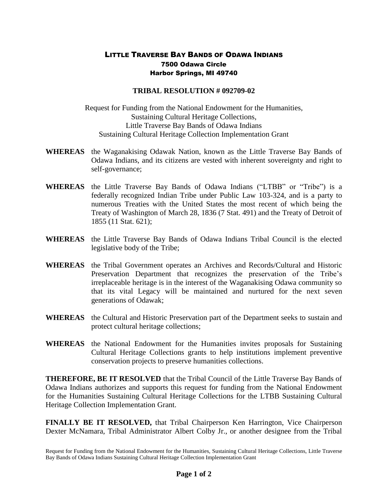## LITTLE TRAVERSE BAY BANDS OF ODAWA INDIANS 7500 Odawa Circle Harbor Springs, MI 49740

## **TRIBAL RESOLUTION # 092709-02**

Request for Funding from the National Endowment for the Humanities, Sustaining Cultural Heritage Collections, Little Traverse Bay Bands of Odawa Indians Sustaining Cultural Heritage Collection Implementation Grant

- **WHEREAS** the Waganakising Odawak Nation, known as the Little Traverse Bay Bands of Odawa Indians, and its citizens are vested with inherent sovereignty and right to self-governance;
- **WHEREAS** the Little Traverse Bay Bands of Odawa Indians ("LTBB" or "Tribe") is a federally recognized Indian Tribe under Public Law 103-324, and is a party to numerous Treaties with the United States the most recent of which being the Treaty of Washington of March 28, 1836 (7 Stat. 491) and the Treaty of Detroit of 1855 (11 Stat. 621);
- **WHEREAS** the Little Traverse Bay Bands of Odawa Indians Tribal Council is the elected legislative body of the Tribe;
- **WHEREAS** the Tribal Government operates an Archives and Records/Cultural and Historic Preservation Department that recognizes the preservation of the Tribe's irreplaceable heritage is in the interest of the Waganakising Odawa community so that its vital Legacy will be maintained and nurtured for the next seven generations of Odawak;
- **WHEREAS** the Cultural and Historic Preservation part of the Department seeks to sustain and protect cultural heritage collections;
- **WHEREAS** the National Endowment for the Humanities invites proposals for Sustaining Cultural Heritage Collections grants to help institutions implement preventive conservation projects to preserve humanities collections.

**THEREFORE, BE IT RESOLVED** that the Tribal Council of the Little Traverse Bay Bands of Odawa Indians authorizes and supports this request for funding from the National Endowment for the Humanities Sustaining Cultural Heritage Collections for the LTBB Sustaining Cultural Heritage Collection Implementation Grant.

**FINALLY BE IT RESOLVED,** that Tribal Chairperson Ken Harrington, Vice Chairperson Dexter McNamara, Tribal Administrator Albert Colby Jr., or another designee from the Tribal

Request for Funding from the National Endowment for the Humanities, Sustaining Cultural Heritage Collections, Little Traverse Bay Bands of Odawa Indians Sustaining Cultural Heritage Collection Implementation Grant